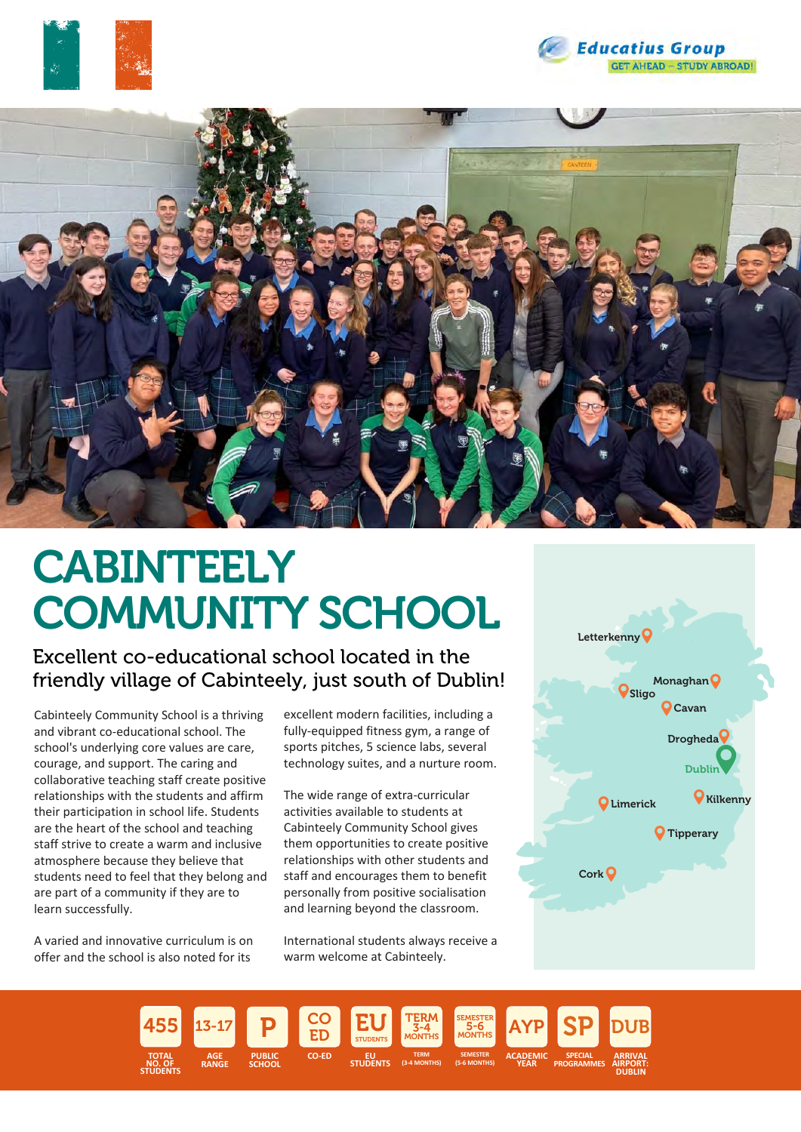





# **CABINTEELY** COMMUNITY SCHOOL

### Excellent co-educational school located in the friendly village of Cabinteely, just south of Dublin!

Cabinteely Community School is a thriving and vibrant co-educational school. The school's underlying core values are care, courage, and support. The caring and collaborative teaching staff create positive relationships with the students and affirm their participation in school life. Students are the heart of the school and teaching staff strive to create a warm and inclusive atmosphere because they believe that students need to feel that they belong and are part of a community if they are to learn successfully.

A varied and innovative curriculum is on offer and the school is also noted for its

excellent modern facilities, including a fully-equipped fitness gym, a range of sports pitches, 5 science labs, several technology suites, and a nurture room.

The wide range of extra-curricular activities available to students at Cabinteely Community School gives them opportunities to create positive relationships with other students and staff and encourages them to benefit personally from positive socialisation and learning beyond the classroom.

International students always receive a warm welcome at Cabinteely.



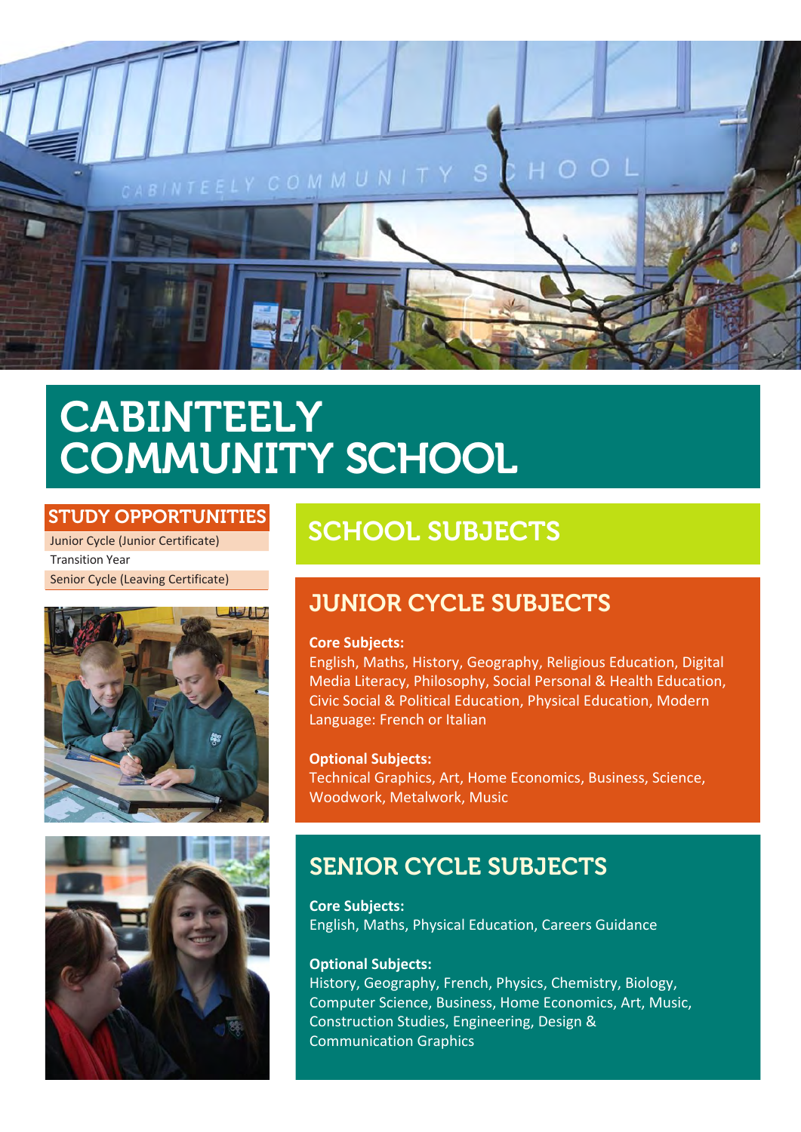

# CABINTEELY COMMUNITY SCHOOL

#### STUDY OPPORTUNITIES

Junior Cycle (Junior Certificate) Transition Year Senior Cycle (Leaving Certificate)





## SCHOOL SUBJECTS

### JUNIOR CYCLE SUBJECTS

#### **Core Subjects:**

English, Maths, History, Geography, Religious Education, Digital Media Literacy, Philosophy, Social Personal & Health Education, Civic Social & Political Education, Physical Education, Modern Language: French or Italian

**Optional Subjects:** Technical Graphics, Art, Home Economics, Business, Science, Woodwork, Metalwork, Music

### SENIOR CYCLE SUBJECTS

**Core Subjects:** English, Maths, Physical Education, Careers Guidance

#### **Optional Subjects:**

History, Geography, French, Physics, Chemistry, Biology, Computer Science, Business, Home Economics, Art, Music, Construction Studies, Engineering, Design & Communication Graphics